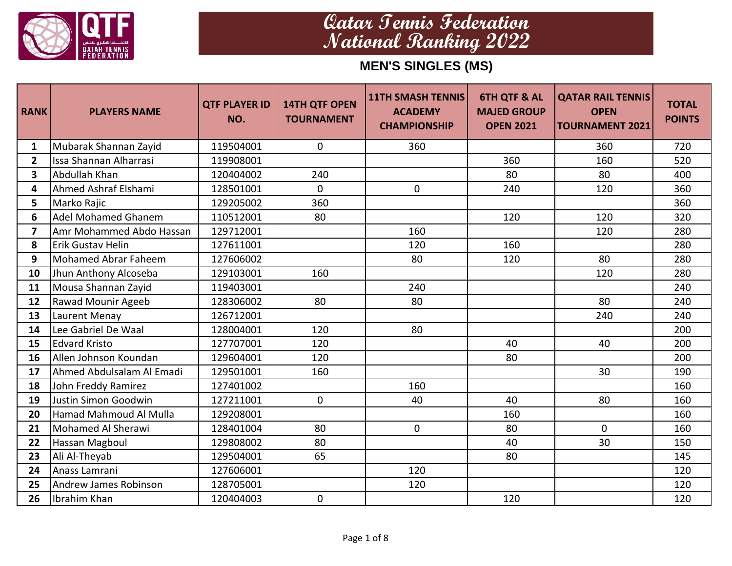

| <b>RANK</b>             | <b>PLAYERS NAME</b>         | <b>QTF PLAYER ID  </b><br>NO. | <b>14TH QTF OPEN</b><br><b>TOURNAMENT</b> | <b>11TH SMASH TENNIS</b><br><b>ACADEMY</b><br><b>CHAMPIONSHIP</b> | <b>6TH QTF &amp; AL</b><br><b>MAJED GROUP</b><br><b>OPEN 2021</b> | <b>QATAR RAIL TENNIS</b><br><b>OPEN</b><br><b>TOURNAMENT 2021</b> | <b>TOTAL</b><br><b>POINTS</b> |
|-------------------------|-----------------------------|-------------------------------|-------------------------------------------|-------------------------------------------------------------------|-------------------------------------------------------------------|-------------------------------------------------------------------|-------------------------------|
| $\mathbf{1}$            | Mubarak Shannan Zayid       | 119504001                     | $\mathbf 0$                               | 360                                                               |                                                                   | 360                                                               | 720                           |
| $\overline{2}$          | Issa Shannan Alharrasi      | 119908001                     |                                           |                                                                   | 360                                                               | 160                                                               | 520                           |
| $\overline{\mathbf{3}}$ | Abdullah Khan               | 120404002                     | 240                                       |                                                                   | 80                                                                | 80                                                                | 400                           |
| 4                       | Ahmed Ashraf Elshami        | 128501001                     | $\mathbf 0$                               | 0                                                                 | 240                                                               | 120                                                               | 360                           |
| 5                       | Marko Rajic                 | 129205002                     | 360                                       |                                                                   |                                                                   |                                                                   | 360                           |
| 6                       | <b>Adel Mohamed Ghanem</b>  | 110512001                     | 80                                        |                                                                   | 120                                                               | 120                                                               | 320                           |
| $\overline{ }$          | Amr Mohammed Abdo Hassan    | 129712001                     |                                           | 160                                                               |                                                                   | 120                                                               | 280                           |
| 8                       | <b>Erik Gustav Helin</b>    | 127611001                     |                                           | 120                                                               | 160                                                               |                                                                   | 280                           |
| 9                       | <b>Mohamed Abrar Faheem</b> | 127606002                     |                                           | 80                                                                | 120                                                               | 80                                                                | 280                           |
| 10                      | Jhun Anthony Alcoseba       | 129103001                     | 160                                       |                                                                   |                                                                   | 120                                                               | 280                           |
| 11                      | Mousa Shannan Zayid         | 119403001                     |                                           | 240                                                               |                                                                   |                                                                   | 240                           |
| 12                      | Rawad Mounir Ageeb          | 128306002                     | 80                                        | 80                                                                |                                                                   | 80                                                                | 240                           |
| 13                      | Laurent Menay               | 126712001                     |                                           |                                                                   |                                                                   | 240                                                               | 240                           |
| 14                      | Lee Gabriel De Waal         | 128004001                     | 120                                       | 80                                                                |                                                                   |                                                                   | 200                           |
| 15                      | <b>Edvard Kristo</b>        | 127707001                     | 120                                       |                                                                   | 40                                                                | 40                                                                | 200                           |
| 16                      | Allen Johnson Koundan       | 129604001                     | 120                                       |                                                                   | 80                                                                |                                                                   | 200                           |
| 17                      | Ahmed Abdulsalam Al Emadi   | 129501001                     | 160                                       |                                                                   |                                                                   | 30                                                                | 190                           |
| 18                      | John Freddy Ramirez         | 127401002                     |                                           | 160                                                               |                                                                   |                                                                   | 160                           |
| 19                      | Justin Simon Goodwin        | 127211001                     | 0                                         | 40                                                                | 40                                                                | 80                                                                | 160                           |
| 20                      | Hamad Mahmoud Al Mulla      | 129208001                     |                                           |                                                                   | 160                                                               |                                                                   | 160                           |
| 21                      | Mohamed Al Sherawi          | 128401004                     | 80                                        | $\mathbf 0$                                                       | 80                                                                | $\mathbf 0$                                                       | 160                           |
| 22                      | Hassan Magboul              | 129808002                     | 80                                        |                                                                   | 40                                                                | 30                                                                | 150                           |
| 23                      | Ali Al-Theyab               | 129504001                     | 65                                        |                                                                   | 80                                                                |                                                                   | 145                           |
| 24                      | Anass Lamrani               | 127606001                     |                                           | 120                                                               |                                                                   |                                                                   | 120                           |
| 25                      | Andrew James Robinson       | 128705001                     |                                           | 120                                                               |                                                                   |                                                                   | 120                           |
| 26                      | Ibrahim Khan                | 120404003                     | 0                                         |                                                                   | 120                                                               |                                                                   | 120                           |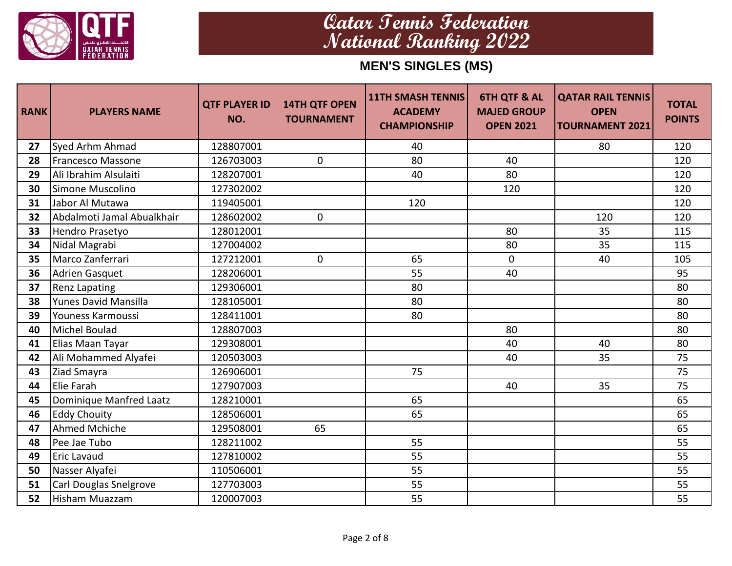

| <b>RANK</b> | <b>PLAYERS NAME</b>         | <b>QTF PLAYER ID  </b><br>NO. | <b>14TH QTF OPEN</b><br><b>TOURNAMENT</b> | <b>11TH SMASH TENNIS</b><br><b>ACADEMY</b><br><b>CHAMPIONSHIP</b> | <b>6TH QTF &amp; AL</b><br><b>MAJED GROUP</b><br><b>OPEN 2021</b> | <b>QATAR RAIL TENNIS</b><br><b>OPEN</b><br><b>TOURNAMENT 2021</b> | <b>TOTAL</b><br><b>POINTS</b> |
|-------------|-----------------------------|-------------------------------|-------------------------------------------|-------------------------------------------------------------------|-------------------------------------------------------------------|-------------------------------------------------------------------|-------------------------------|
| 27          | Syed Arhm Ahmad             | 128807001                     |                                           | 40                                                                |                                                                   | 80                                                                | 120                           |
| 28          | <b>Francesco Massone</b>    | 126703003                     | $\mathbf 0$                               | 80                                                                | 40                                                                |                                                                   | 120                           |
| 29          | Ali Ibrahim Alsulaiti       | 128207001                     |                                           | 40                                                                | 80                                                                |                                                                   | 120                           |
| 30          | Simone Muscolino            | 127302002                     |                                           |                                                                   | 120                                                               |                                                                   | 120                           |
| 31          | Jabor Al Mutawa             | 119405001                     |                                           | 120                                                               |                                                                   |                                                                   | 120                           |
| 32          | Abdalmoti Jamal Abualkhair  | 128602002                     | $\mathbf 0$                               |                                                                   |                                                                   | 120                                                               | 120                           |
| 33          | Hendro Prasetyo             | 128012001                     |                                           |                                                                   | 80                                                                | 35                                                                | 115                           |
| 34          | Nidal Magrabi               | 127004002                     |                                           |                                                                   | 80                                                                | 35                                                                | 115                           |
| 35          | Marco Zanferrari            | 127212001                     | $\mathbf 0$                               | 65                                                                | 0                                                                 | 40                                                                | 105                           |
| 36          | <b>Adrien Gasquet</b>       | 128206001                     |                                           | 55                                                                | 40                                                                |                                                                   | 95                            |
| 37          | <b>Renz Lapating</b>        | 129306001                     |                                           | 80                                                                |                                                                   |                                                                   | 80                            |
| 38          | <b>Yunes David Mansilla</b> | 128105001                     |                                           | 80                                                                |                                                                   |                                                                   | 80                            |
| 39          | Youness Karmoussi           | 128411001                     |                                           | 80                                                                |                                                                   |                                                                   | 80                            |
| 40          | Michel Boulad               | 128807003                     |                                           |                                                                   | 80                                                                |                                                                   | 80                            |
| 41          | Elias Maan Tayar            | 129308001                     |                                           |                                                                   | 40                                                                | 40                                                                | 80                            |
| 42          | Ali Mohammed Alyafei        | 120503003                     |                                           |                                                                   | 40                                                                | 35                                                                | 75                            |
| 43          | Ziad Smayra                 | 126906001                     |                                           | 75                                                                |                                                                   |                                                                   | 75                            |
| 44          | Elie Farah                  | 127907003                     |                                           |                                                                   | 40                                                                | 35                                                                | 75                            |
| 45          | Dominique Manfred Laatz     | 128210001                     |                                           | 65                                                                |                                                                   |                                                                   | 65                            |
| 46          | <b>Eddy Chouity</b>         | 128506001                     |                                           | 65                                                                |                                                                   |                                                                   | 65                            |
| 47          | Ahmed Mchiche               | 129508001                     | 65                                        |                                                                   |                                                                   |                                                                   | 65                            |
| 48          | Pee Jae Tubo                | 128211002                     |                                           | 55                                                                |                                                                   |                                                                   | 55                            |
| 49          | Eric Lavaud                 | 127810002                     |                                           | 55                                                                |                                                                   |                                                                   | 55                            |
| 50          | Nasser Alyafei              | 110506001                     |                                           | 55                                                                |                                                                   |                                                                   | 55                            |
| 51          | Carl Douglas Snelgrove      | 127703003                     |                                           | 55                                                                |                                                                   |                                                                   | 55                            |
| 52          | <b>Hisham Muazzam</b>       | 120007003                     |                                           | 55                                                                |                                                                   |                                                                   | 55                            |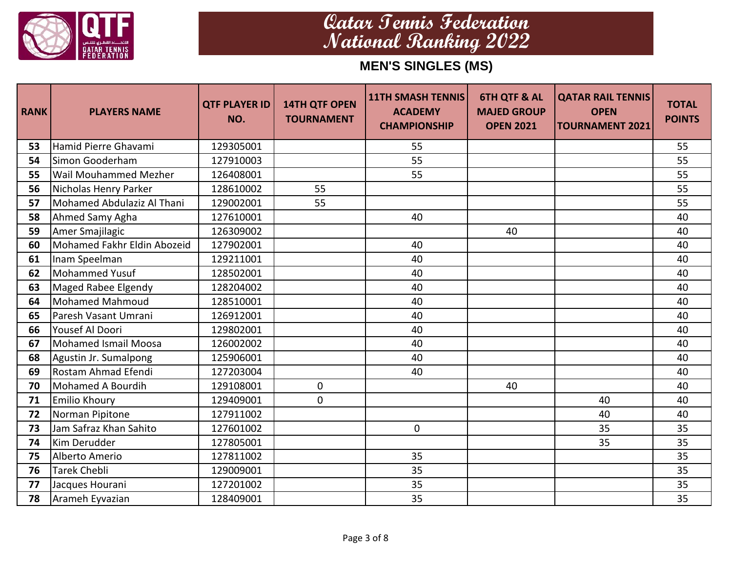

| <b>RANK</b> | <b>PLAYERS NAME</b>          | <b>QTF PLAYER ID  </b><br>NO. | <b>14TH QTF OPEN</b><br><b>TOURNAMENT</b> | <b>11TH SMASH TENNIS</b><br><b>ACADEMY</b><br><b>CHAMPIONSHIP</b> | <b>6TH QTF &amp; AL</b><br><b>MAJED GROUP</b><br><b>OPEN 2021</b> | <b>QATAR RAIL TENNIS</b><br><b>OPEN</b><br><b>TOURNAMENT 2021</b> | <b>TOTAL</b><br><b>POINTS</b> |
|-------------|------------------------------|-------------------------------|-------------------------------------------|-------------------------------------------------------------------|-------------------------------------------------------------------|-------------------------------------------------------------------|-------------------------------|
| 53          | Hamid Pierre Ghavami         | 129305001                     |                                           | 55                                                                |                                                                   |                                                                   | 55                            |
| 54          | Simon Gooderham              | 127910003                     |                                           | 55                                                                |                                                                   |                                                                   | 55                            |
| 55          | <b>Wail Mouhammed Mezher</b> | 126408001                     |                                           | 55                                                                |                                                                   |                                                                   | 55                            |
| 56          | Nicholas Henry Parker        | 128610002                     | 55                                        |                                                                   |                                                                   |                                                                   | 55                            |
| 57          | Mohamed Abdulaziz Al Thani   | 129002001                     | 55                                        |                                                                   |                                                                   |                                                                   | 55                            |
| 58          | Ahmed Samy Agha              | 127610001                     |                                           | 40                                                                |                                                                   |                                                                   | 40                            |
| 59          | Amer Smajilagic              | 126309002                     |                                           |                                                                   | 40                                                                |                                                                   | 40                            |
| 60          | Mohamed Fakhr Eldin Abozeid  | 127902001                     |                                           | 40                                                                |                                                                   |                                                                   | 40                            |
| 61          | Inam Speelman                | 129211001                     |                                           | 40                                                                |                                                                   |                                                                   | 40                            |
| 62          | <b>Mohammed Yusuf</b>        | 128502001                     |                                           | 40                                                                |                                                                   |                                                                   | 40                            |
| 63          | Maged Rabee Elgendy          | 128204002                     |                                           | 40                                                                |                                                                   |                                                                   | 40                            |
| 64          | <b>Mohamed Mahmoud</b>       | 128510001                     |                                           | 40                                                                |                                                                   |                                                                   | 40                            |
| 65          | Paresh Vasant Umrani         | 126912001                     |                                           | 40                                                                |                                                                   |                                                                   | 40                            |
| 66          | Yousef Al Doori              | 129802001                     |                                           | 40                                                                |                                                                   |                                                                   | 40                            |
| 67          | <b>Mohamed Ismail Moosa</b>  | 126002002                     |                                           | 40                                                                |                                                                   |                                                                   | 40                            |
| 68          | Agustin Jr. Sumalpong        | 125906001                     |                                           | 40                                                                |                                                                   |                                                                   | 40                            |
| 69          | Rostam Ahmad Efendi          | 127203004                     |                                           | 40                                                                |                                                                   |                                                                   | 40                            |
| 70          | Mohamed A Bourdih            | 129108001                     | $\mathbf 0$                               |                                                                   | 40                                                                |                                                                   | 40                            |
| 71          | <b>Emilio Khoury</b>         | 129409001                     | $\mathbf 0$                               |                                                                   |                                                                   | 40                                                                | 40                            |
| 72          | Norman Pipitone              | 127911002                     |                                           |                                                                   |                                                                   | 40                                                                | 40                            |
| 73          | Jam Safraz Khan Sahito       | 127601002                     |                                           | $\mathbf 0$                                                       |                                                                   | 35                                                                | 35                            |
| 74          | Kim Derudder                 | 127805001                     |                                           |                                                                   |                                                                   | 35                                                                | 35                            |
| 75          | Alberto Amerio               | 127811002                     |                                           | 35                                                                |                                                                   |                                                                   | 35                            |
| 76          | <b>Tarek Chebli</b>          | 129009001                     |                                           | 35                                                                |                                                                   |                                                                   | 35                            |
| 77          | Jacques Hourani              | 127201002                     |                                           | 35                                                                |                                                                   |                                                                   | 35                            |
| 78          | Arameh Eyvazian              | 128409001                     |                                           | 35                                                                |                                                                   |                                                                   | 35                            |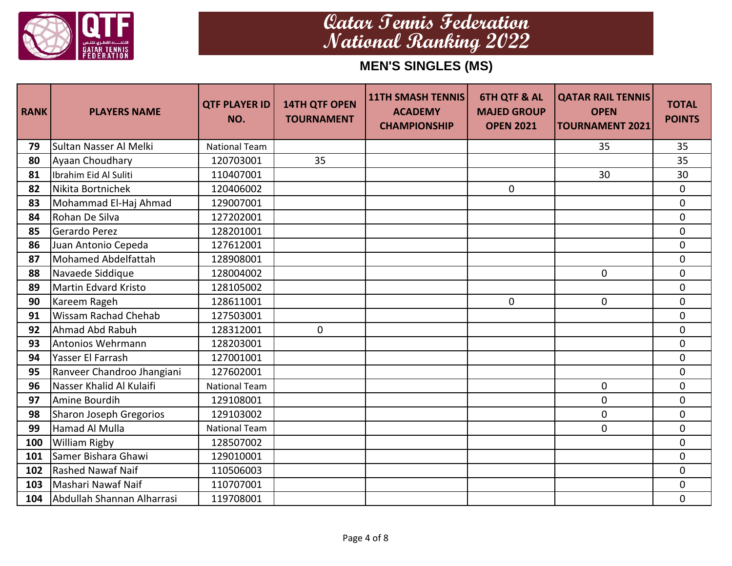

| <b>RANK</b> | <b>PLAYERS NAME</b>         | <b>QTF PLAYER ID</b><br>NO. | <b>14TH QTF OPEN</b><br><b>TOURNAMENT</b> | <b>11TH SMASH TENNIS</b><br><b>ACADEMY</b><br><b>CHAMPIONSHIP</b> | <b>6TH QTF &amp; AL</b><br><b>MAJED GROUP</b><br><b>OPEN 2021</b> | <b>QATAR RAIL TENNIS</b><br><b>OPEN</b><br><b>TOURNAMENT 2021</b> | <b>TOTAL</b><br><b>POINTS</b> |
|-------------|-----------------------------|-----------------------------|-------------------------------------------|-------------------------------------------------------------------|-------------------------------------------------------------------|-------------------------------------------------------------------|-------------------------------|
| 79          | Sultan Nasser Al Melki      | <b>National Team</b>        |                                           |                                                                   |                                                                   | 35                                                                | 35                            |
| 80          | Ayaan Choudhary             | 120703001                   | 35                                        |                                                                   |                                                                   |                                                                   | 35                            |
| 81          | Ibrahim Eid Al Suliti       | 110407001                   |                                           |                                                                   |                                                                   | 30                                                                | 30                            |
| 82          | Nikita Bortnichek           | 120406002                   |                                           |                                                                   | $\mathbf{0}$                                                      |                                                                   | $\mathbf 0$                   |
| 83          | Mohammad El-Haj Ahmad       | 129007001                   |                                           |                                                                   |                                                                   |                                                                   | $\mathbf 0$                   |
| 84          | Rohan De Silva              | 127202001                   |                                           |                                                                   |                                                                   |                                                                   | $\mathbf 0$                   |
| 85          | Gerardo Perez               | 128201001                   |                                           |                                                                   |                                                                   |                                                                   | $\mathbf 0$                   |
| 86          | Juan Antonio Cepeda         | 127612001                   |                                           |                                                                   |                                                                   |                                                                   | 0                             |
| 87          | Mohamed Abdelfattah         | 128908001                   |                                           |                                                                   |                                                                   |                                                                   | $\mathbf 0$                   |
| 88          | Navaede Siddique            | 128004002                   |                                           |                                                                   |                                                                   | 0                                                                 | 0                             |
| 89          | <b>Martin Edvard Kristo</b> | 128105002                   |                                           |                                                                   |                                                                   |                                                                   | $\mathbf 0$                   |
| 90          | Kareem Rageh                | 128611001                   |                                           |                                                                   | $\mathbf{0}$                                                      | 0                                                                 | 0                             |
| 91          | <b>Wissam Rachad Chehab</b> | 127503001                   |                                           |                                                                   |                                                                   |                                                                   | $\mathbf 0$                   |
| 92          | Ahmad Abd Rabuh             | 128312001                   | 0                                         |                                                                   |                                                                   |                                                                   | 0                             |
| 93          | Antonios Wehrmann           | 128203001                   |                                           |                                                                   |                                                                   |                                                                   | $\mathbf 0$                   |
| 94          | Yasser El Farrash           | 127001001                   |                                           |                                                                   |                                                                   |                                                                   | 0                             |
| 95          | Ranveer Chandroo Jhangiani  | 127602001                   |                                           |                                                                   |                                                                   |                                                                   | 0                             |
| 96          | Nasser Khalid Al Kulaifi    | <b>National Team</b>        |                                           |                                                                   |                                                                   | 0                                                                 | 0                             |
| 97          | Amine Bourdih               | 129108001                   |                                           |                                                                   |                                                                   | 0                                                                 | 0                             |
| 98          | Sharon Joseph Gregorios     | 129103002                   |                                           |                                                                   |                                                                   | $\mathbf 0$                                                       | $\overline{0}$                |
| 99          | Hamad Al Mulla              | <b>National Team</b>        |                                           |                                                                   |                                                                   | 0                                                                 | $\mathbf 0$                   |
| 100         | <b>William Rigby</b>        | 128507002                   |                                           |                                                                   |                                                                   |                                                                   | $\overline{0}$                |
| 101         | Samer Bishara Ghawi         | 129010001                   |                                           |                                                                   |                                                                   |                                                                   | 0                             |
| 102         | <b>Rashed Nawaf Naif</b>    | 110506003                   |                                           |                                                                   |                                                                   |                                                                   | $\Omega$                      |
| 103         | Mashari Nawaf Naif          | 110707001                   |                                           |                                                                   |                                                                   |                                                                   | 0                             |
| 104         | Abdullah Shannan Alharrasi  | 119708001                   |                                           |                                                                   |                                                                   |                                                                   | $\mathbf 0$                   |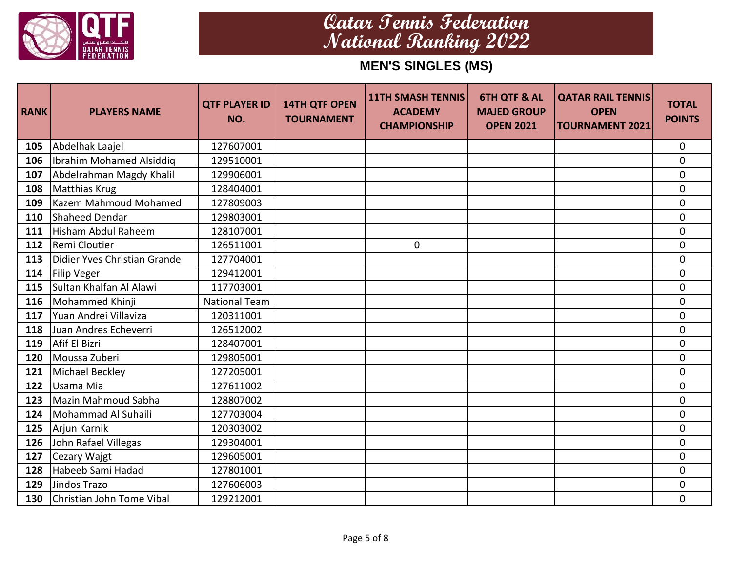

| <b>RANK</b> | <b>PLAYERS NAME</b>          | <b>QTF PLAYER ID  </b><br>NO. | <b>14TH QTF OPEN</b><br><b>TOURNAMENT</b> | <b>11TH SMASH TENNIS</b><br><b>ACADEMY</b><br><b>CHAMPIONSHIP</b> | <b>6TH QTF &amp; AL</b><br><b>MAJED GROUP</b><br><b>OPEN 2021</b> | <b>QATAR RAIL TENNIS</b><br><b>OPEN</b><br><b>TOURNAMENT 2021</b> | <b>TOTAL</b><br><b>POINTS</b> |
|-------------|------------------------------|-------------------------------|-------------------------------------------|-------------------------------------------------------------------|-------------------------------------------------------------------|-------------------------------------------------------------------|-------------------------------|
| 105         | Abdelhak Laajel              | 127607001                     |                                           |                                                                   |                                                                   |                                                                   | $\mathbf 0$                   |
| 106         | Ibrahim Mohamed Alsiddig     | 129510001                     |                                           |                                                                   |                                                                   |                                                                   | 0                             |
| 107         | Abdelrahman Magdy Khalil     | 129906001                     |                                           |                                                                   |                                                                   |                                                                   | $\mathbf 0$                   |
| 108         | Matthias Krug                | 128404001                     |                                           |                                                                   |                                                                   |                                                                   | 0                             |
| 109         | Kazem Mahmoud Mohamed        | 127809003                     |                                           |                                                                   |                                                                   |                                                                   | $\mathbf 0$                   |
| 110         | Shaheed Dendar               | 129803001                     |                                           |                                                                   |                                                                   |                                                                   | 0                             |
| 111         | Hisham Abdul Raheem          | 128107001                     |                                           |                                                                   |                                                                   |                                                                   | $\boldsymbol{0}$              |
| 112         | Remi Cloutier                | 126511001                     |                                           | 0                                                                 |                                                                   |                                                                   | 0                             |
| 113         | Didier Yves Christian Grande | 127704001                     |                                           |                                                                   |                                                                   |                                                                   | 0                             |
| 114         | <b>Filip Veger</b>           | 129412001                     |                                           |                                                                   |                                                                   |                                                                   | 0                             |
| 115         | Sultan Khalfan Al Alawi      | 117703001                     |                                           |                                                                   |                                                                   |                                                                   | $\mathbf 0$                   |
| 116         | Mohammed Khinji              | <b>National Team</b>          |                                           |                                                                   |                                                                   |                                                                   | 0                             |
| 117         | Yuan Andrei Villaviza        | 120311001                     |                                           |                                                                   |                                                                   |                                                                   | $\mathbf 0$                   |
| 118         | Juan Andres Echeverri        | 126512002                     |                                           |                                                                   |                                                                   |                                                                   | 0                             |
| 119         | Afif El Bizri                | 128407001                     |                                           |                                                                   |                                                                   |                                                                   | $\mathbf 0$                   |
| 120         | Moussa Zuberi                | 129805001                     |                                           |                                                                   |                                                                   |                                                                   | 0                             |
| 121         | <b>Michael Beckley</b>       | 127205001                     |                                           |                                                                   |                                                                   |                                                                   | 0                             |
| 122         | Usama Mia                    | 127611002                     |                                           |                                                                   |                                                                   |                                                                   | 0                             |
| 123         | Mazin Mahmoud Sabha          | 128807002                     |                                           |                                                                   |                                                                   |                                                                   | 0                             |
| 124         | Mohammad Al Suhaili          | 127703004                     |                                           |                                                                   |                                                                   |                                                                   | 0                             |
| 125         | Arjun Karnik                 | 120303002                     |                                           |                                                                   |                                                                   |                                                                   | 0                             |
| 126         | John Rafael Villegas         | 129304001                     |                                           |                                                                   |                                                                   |                                                                   | 0                             |
| 127         | Cezary Wajgt                 | 129605001                     |                                           |                                                                   |                                                                   |                                                                   | 0                             |
| 128         | Habeeb Sami Hadad            | 127801001                     |                                           |                                                                   |                                                                   |                                                                   | $\overline{0}$                |
| 129         | Jindos Trazo                 | 127606003                     |                                           |                                                                   |                                                                   |                                                                   | 0                             |
| 130         | Christian John Tome Vibal    | 129212001                     |                                           |                                                                   |                                                                   |                                                                   | $\overline{0}$                |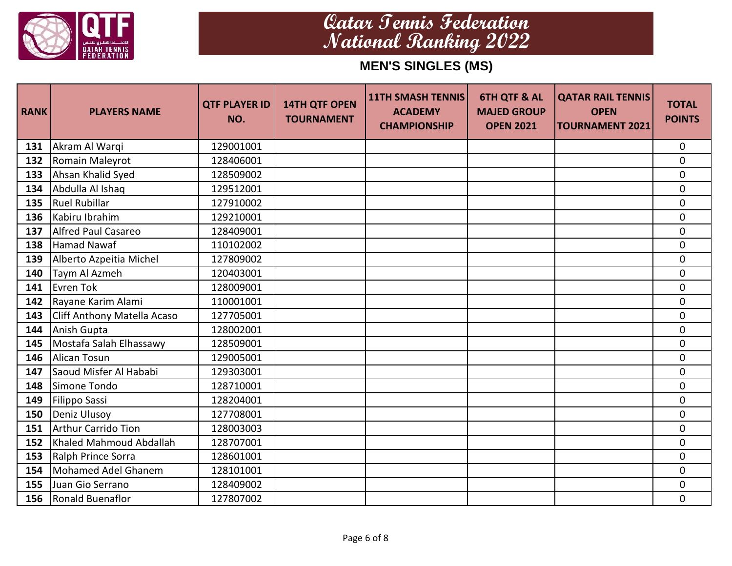

| <b>RANK</b> | <b>PLAYERS NAME</b>         | <b>QTF PLAYER ID</b><br>NO. | <b>14TH QTF OPEN</b><br><b>TOURNAMENT</b> | <b>11TH SMASH TENNIS</b><br><b>ACADEMY</b><br><b>CHAMPIONSHIP</b> | <b>6TH QTF &amp; AL</b><br><b>MAJED GROUP</b><br><b>OPEN 2021</b> | <b>QATAR RAIL TENNIS</b><br><b>OPEN</b><br><b>TOURNAMENT 2021</b> | <b>TOTAL</b><br><b>POINTS</b> |
|-------------|-----------------------------|-----------------------------|-------------------------------------------|-------------------------------------------------------------------|-------------------------------------------------------------------|-------------------------------------------------------------------|-------------------------------|
| 131         | Akram Al Warqi              | 129001001                   |                                           |                                                                   |                                                                   |                                                                   | $\mathbf 0$                   |
| 132         | Romain Maleyrot             | 128406001                   |                                           |                                                                   |                                                                   |                                                                   | $\mathbf 0$                   |
| 133         | Ahsan Khalid Syed           | 128509002                   |                                           |                                                                   |                                                                   |                                                                   | $\mathbf 0$                   |
| 134         | Abdulla Al Ishaq            | 129512001                   |                                           |                                                                   |                                                                   |                                                                   | $\mathbf 0$                   |
| 135         | <b>Ruel Rubillar</b>        | 127910002                   |                                           |                                                                   |                                                                   |                                                                   | $\mathbf 0$                   |
| 136         | Kabiru Ibrahim              | 129210001                   |                                           |                                                                   |                                                                   |                                                                   | $\mathbf 0$                   |
| 137         | <b>Alfred Paul Casareo</b>  | 128409001                   |                                           |                                                                   |                                                                   |                                                                   | $\mathbf 0$                   |
| 138         | <b>Hamad Nawaf</b>          | 110102002                   |                                           |                                                                   |                                                                   |                                                                   | 0                             |
| 139         | Alberto Azpeitia Michel     | 127809002                   |                                           |                                                                   |                                                                   |                                                                   | $\mathbf 0$                   |
| 140         | Taym Al Azmeh               | 120403001                   |                                           |                                                                   |                                                                   |                                                                   | $\mathbf 0$                   |
| 141         | Evren Tok                   | 128009001                   |                                           |                                                                   |                                                                   |                                                                   | $\mathbf 0$                   |
| 142         | Rayane Karim Alami          | 110001001                   |                                           |                                                                   |                                                                   |                                                                   | 0                             |
| 143         | Cliff Anthony Matella Acaso | 127705001                   |                                           |                                                                   |                                                                   |                                                                   | $\mathbf 0$                   |
| 144         | Anish Gupta                 | 128002001                   |                                           |                                                                   |                                                                   |                                                                   | 0                             |
| 145         | Mostafa Salah Elhassawy     | 128509001                   |                                           |                                                                   |                                                                   |                                                                   | $\mathbf 0$                   |
| 146         | Alican Tosun                | 129005001                   |                                           |                                                                   |                                                                   |                                                                   | 0                             |
| 147         | Saoud Misfer Al Hababi      | 129303001                   |                                           |                                                                   |                                                                   |                                                                   | 0                             |
| 148         | Simone Tondo                | 128710001                   |                                           |                                                                   |                                                                   |                                                                   | 0                             |
| 149         | Filippo Sassi               | 128204001                   |                                           |                                                                   |                                                                   |                                                                   | 0                             |
| 150         | Deniz Ulusoy                | 127708001                   |                                           |                                                                   |                                                                   |                                                                   | $\overline{0}$                |
| 151         | <b>Arthur Carrido Tion</b>  | 128003003                   |                                           |                                                                   |                                                                   |                                                                   | $\mathbf 0$                   |
| 152         | Khaled Mahmoud Abdallah     | 128707001                   |                                           |                                                                   |                                                                   |                                                                   | $\mathbf 0$                   |
| 153         | Ralph Prince Sorra          | 128601001                   |                                           |                                                                   |                                                                   |                                                                   | 0                             |
| 154         | Mohamed Adel Ghanem         | 128101001                   |                                           |                                                                   |                                                                   |                                                                   | $\Omega$                      |
| 155         | Juan Gio Serrano            | 128409002                   |                                           |                                                                   |                                                                   |                                                                   | 0                             |
| 156         | Ronald Buenaflor            | 127807002                   |                                           |                                                                   |                                                                   |                                                                   | $\mathbf 0$                   |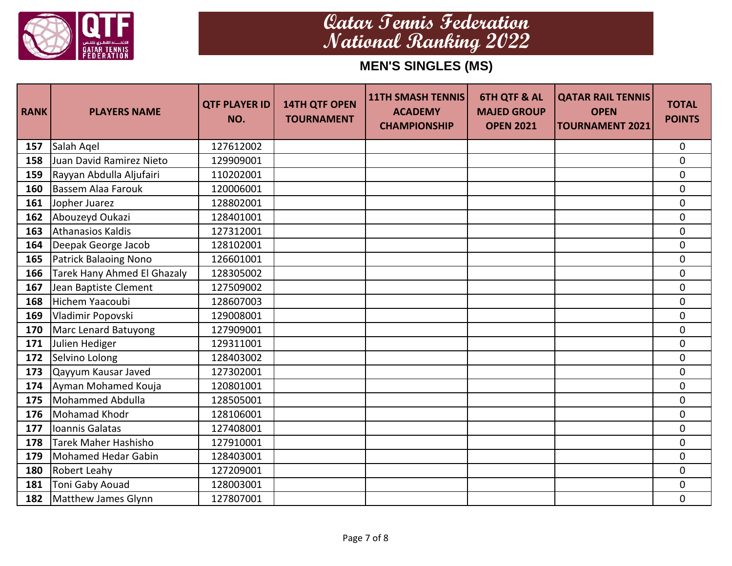

| <b>RANK</b> | <b>PLAYERS NAME</b>          | <b>QTF PLAYER ID</b><br>NO. | <b>14TH QTF OPEN</b><br><b>TOURNAMENT</b> | <b>11TH SMASH TENNIS</b><br><b>ACADEMY</b><br><b>CHAMPIONSHIP</b> | <b>6TH QTF &amp; AL</b><br><b>MAJED GROUP</b><br><b>OPEN 2021</b> | <b>QATAR RAIL TENNIS</b><br><b>OPEN</b><br><b>TOURNAMENT 2021</b> | <b>TOTAL</b><br><b>POINTS</b> |
|-------------|------------------------------|-----------------------------|-------------------------------------------|-------------------------------------------------------------------|-------------------------------------------------------------------|-------------------------------------------------------------------|-------------------------------|
| 157         | Salah Agel                   | 127612002                   |                                           |                                                                   |                                                                   |                                                                   | $\mathbf 0$                   |
| 158         | Juan David Ramirez Nieto     | 129909001                   |                                           |                                                                   |                                                                   |                                                                   | 0                             |
| 159         | Rayyan Abdulla Aljufairi     | 110202001                   |                                           |                                                                   |                                                                   |                                                                   | 0                             |
| 160         | <b>Bassem Alaa Farouk</b>    | 120006001                   |                                           |                                                                   |                                                                   |                                                                   | 0                             |
| 161         | Jopher Juarez                | 128802001                   |                                           |                                                                   |                                                                   |                                                                   | 0                             |
| 162         | Abouzeyd Oukazi              | 128401001                   |                                           |                                                                   |                                                                   |                                                                   | 0                             |
| 163         | <b>Athanasios Kaldis</b>     | 127312001                   |                                           |                                                                   |                                                                   |                                                                   | $\boldsymbol{0}$              |
| 164         | Deepak George Jacob          | 128102001                   |                                           |                                                                   |                                                                   |                                                                   | 0                             |
| 165         | <b>Patrick Balaoing Nono</b> | 126601001                   |                                           |                                                                   |                                                                   |                                                                   | 0                             |
| 166         | Tarek Hany Ahmed El Ghazaly  | 128305002                   |                                           |                                                                   |                                                                   |                                                                   | 0                             |
| 167         | Jean Baptiste Clement        | 127509002                   |                                           |                                                                   |                                                                   |                                                                   | $\mathbf 0$                   |
| 168         | Hichem Yaacoubi              | 128607003                   |                                           |                                                                   |                                                                   |                                                                   | 0                             |
| 169         | Vladimir Popovski            | 129008001                   |                                           |                                                                   |                                                                   |                                                                   | 0                             |
| 170         | Marc Lenard Batuyong         | 127909001                   |                                           |                                                                   |                                                                   |                                                                   | 0                             |
| 171         | Julien Hediger               | 129311001                   |                                           |                                                                   |                                                                   |                                                                   | 0                             |
| 172         | Selvino Lolong               | 128403002                   |                                           |                                                                   |                                                                   |                                                                   | 0                             |
| 173         | Qayyum Kausar Javed          | 127302001                   |                                           |                                                                   |                                                                   |                                                                   | 0                             |
| 174         | Ayman Mohamed Kouja          | 120801001                   |                                           |                                                                   |                                                                   |                                                                   | 0                             |
| 175         | Mohammed Abdulla             | 128505001                   |                                           |                                                                   |                                                                   |                                                                   | 0                             |
| 176         | Mohamad Khodr                | 128106001                   |                                           |                                                                   |                                                                   |                                                                   | 0                             |
| 177         | Ioannis Galatas              | 127408001                   |                                           |                                                                   |                                                                   |                                                                   | 0                             |
| 178         | Tarek Maher Hashisho         | 127910001                   |                                           |                                                                   |                                                                   |                                                                   | 0                             |
| 179         | <b>Mohamed Hedar Gabin</b>   | 128403001                   |                                           |                                                                   |                                                                   |                                                                   | 0                             |
| 180         | Robert Leahy                 | 127209001                   |                                           |                                                                   |                                                                   |                                                                   | $\overline{0}$                |
| 181         | Toni Gaby Aouad              | 128003001                   |                                           |                                                                   |                                                                   |                                                                   | 0                             |
| 182         | <b>Matthew James Glynn</b>   | 127807001                   |                                           |                                                                   |                                                                   |                                                                   | $\overline{0}$                |